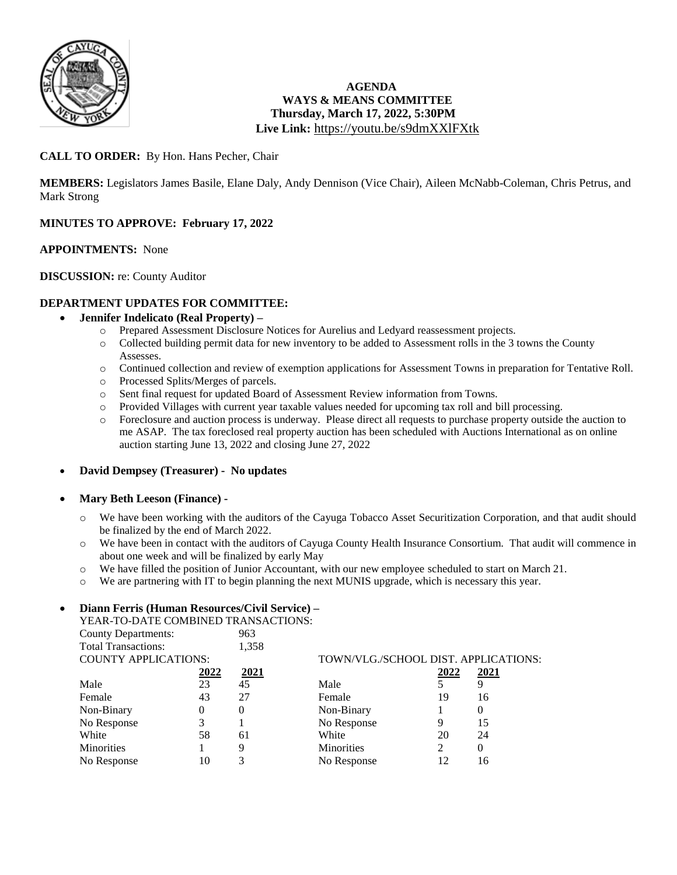

# **AGENDA WAYS & MEANS COMMITTEE Thursday, March 17, 2022, 5:30PM Live Link:** <https://youtu.be/s9dmXXlFXtk>

# **CALL TO ORDER:** By Hon. Hans Pecher, Chair

**MEMBERS:** Legislators James Basile, Elane Daly, Andy Dennison (Vice Chair), Aileen McNabb-Coleman, Chris Petrus, and Mark Strong

## **MINUTES TO APPROVE: February 17, 2022**

#### **APPOINTMENTS:** None

#### **DISCUSSION:** re: County Auditor

#### **DEPARTMENT UPDATES FOR COMMITTEE:**

#### **Jennifer Indelicato (Real Property) –**

- o Prepared Assessment Disclosure Notices for Aurelius and Ledyard reassessment projects.
- o Collected building permit data for new inventory to be added to Assessment rolls in the 3 towns the County Assesses.
- o Continued collection and review of exemption applications for Assessment Towns in preparation for Tentative Roll.
- o Processed Splits/Merges of parcels.
- o Sent final request for updated Board of Assessment Review information from Towns.
- o Provided Villages with current year taxable values needed for upcoming tax roll and bill processing.
- o Foreclosure and auction process is underway. Please direct all requests to purchase property outside the auction to me ASAP. The tax foreclosed real property auction has been scheduled with Auctions International as on online auction starting June 13, 2022 and closing June 27, 2022

#### **David Dempsey (Treasurer) - No updates**

#### **Mary Beth Leeson (Finance) -**

- o We have been working with the auditors of the Cayuga Tobacco Asset Securitization Corporation, and that audit should be finalized by the end of March 2022.
- o We have been in contact with the auditors of Cayuga County Health Insurance Consortium. That audit will commence in about one week and will be finalized by early May
- o We have filled the position of Junior Accountant, with our new employee scheduled to start on March 21.
- o We are partnering with IT to begin planning the next MUNIS upgrade, which is necessary this year.

#### **Diann Ferris (Human Resources/Civil Service) –**

YEAR-TO-DATE COMBINED TRANSACTIONS:

| <b>County Departments:</b>  |      | 963      |                                      |                |          |
|-----------------------------|------|----------|--------------------------------------|----------------|----------|
| <b>Total Transactions:</b>  |      | 1,358    |                                      |                |          |
| <b>COUNTY APPLICATIONS:</b> |      |          | TOWN/VLG./SCHOOL DIST. APPLICATIONS: |                |          |
|                             | 2022 | 2021     |                                      | 2022           | 2021     |
| Male                        | 23   | 45       | Male                                 |                |          |
| Female                      | 43   | 27       | Female                               | 19             | 16       |
| Non-Binary                  | 0    | $\Omega$ | Non-Binary                           |                | $\theta$ |
| No Response                 | 3    |          | No Response                          | 9              | 15       |
| White                       | 58   | 61       | White                                | 20             | 24       |
| <b>Minorities</b>           |      | 9        | <b>Minorities</b>                    | $\overline{c}$ |          |
| No Response                 | 10   | 3        | No Response                          | 12             | 16       |
|                             |      |          |                                      |                |          |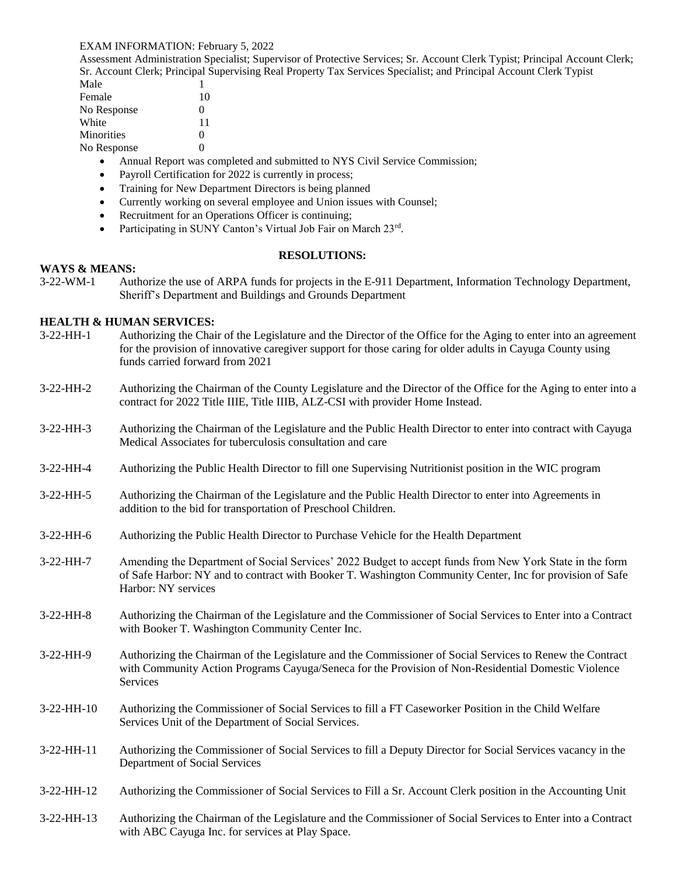#### EXAM INFORMATION: February 5, 2022

Assessment Administration Specialist; Supervisor of Protective Services; Sr. Account Clerk Typist; Principal Account Clerk; Sr. Account Clerk; Principal Supervising Real Property Tax Services Specialist; and Principal Account Clerk Typist

| Male              |    |
|-------------------|----|
| Female            | 10 |
| No Response       | 0  |
| White             | 11 |
| <b>Minorities</b> | 0  |
| No Response       | ∩  |

- Annual Report was completed and submitted to NYS Civil Service Commission;
- Payroll Certification for 2022 is currently in process;
- Training for New Department Directors is being planned
- Currently working on several employee and Union issues with Counsel;
- Recruitment for an Operations Officer is continuing;
- Participating in SUNY Canton's Virtual Job Fair on March 23rd.

## **RESOLUTIONS:**

#### **WAYS & MEANS:**

3-22-WM-1 Authorize the use of ARPA funds for projects in the E-911 Department, Information Technology Department, Sheriff's Department and Buildings and Grounds Department

## **HEALTH & HUMAN SERVICES:**

| $3-22-HH-1$ | Authorizing the Chair of the Legislature and the Director of the Office for the Aging to enter into an agreement<br>for the provision of innovative caregiver support for those caring for older adults in Cayuga County using<br>funds carried forward from 2021 |
|-------------|-------------------------------------------------------------------------------------------------------------------------------------------------------------------------------------------------------------------------------------------------------------------|
| $3-22-HH-2$ | Authorizing the Chairman of the County Legislature and the Director of the Office for the Aging to enter into a<br>contract for 2022 Title IIIE, Title IIIB, ALZ-CSI with provider Home Instead.                                                                  |
| 3-22-HH-3   | Authorizing the Chairman of the Legislature and the Public Health Director to enter into contract with Cayuga<br>Medical Associates for tuberculosis consultation and care                                                                                        |
| $3-22-HH-4$ | Authorizing the Public Health Director to fill one Supervising Nutritionist position in the WIC program                                                                                                                                                           |
| 3-22-HH-5   | Authorizing the Chairman of the Legislature and the Public Health Director to enter into Agreements in<br>addition to the bid for transportation of Preschool Children.                                                                                           |
| 3-22-HH-6   | Authorizing the Public Health Director to Purchase Vehicle for the Health Department                                                                                                                                                                              |
| $3-22-HH-7$ | Amending the Department of Social Services' 2022 Budget to accept funds from New York State in the form<br>of Safe Harbor: NY and to contract with Booker T. Washington Community Center, Inc for provision of Safe<br>Harbor: NY services                        |
| 3-22-HH-8   | Authorizing the Chairman of the Legislature and the Commissioner of Social Services to Enter into a Contract<br>with Booker T. Washington Community Center Inc.                                                                                                   |
| $3-22-HH-9$ | Authorizing the Chairman of the Legislature and the Commissioner of Social Services to Renew the Contract<br>with Community Action Programs Cayuga/Seneca for the Provision of Non-Residential Domestic Violence<br><b>Services</b>                               |
| 3-22-HH-10  | Authorizing the Commissioner of Social Services to fill a FT Caseworker Position in the Child Welfare<br>Services Unit of the Department of Social Services.                                                                                                      |
| 3-22-HH-11  | Authorizing the Commissioner of Social Services to fill a Deputy Director for Social Services vacancy in the<br>Department of Social Services                                                                                                                     |
| 3-22-HH-12  | Authorizing the Commissioner of Social Services to Fill a Sr. Account Clerk position in the Accounting Unit                                                                                                                                                       |
| 3-22-HH-13  | Authorizing the Chairman of the Legislature and the Commissioner of Social Services to Enter into a Contract<br>with ABC Cayuga Inc. for services at Play Space.                                                                                                  |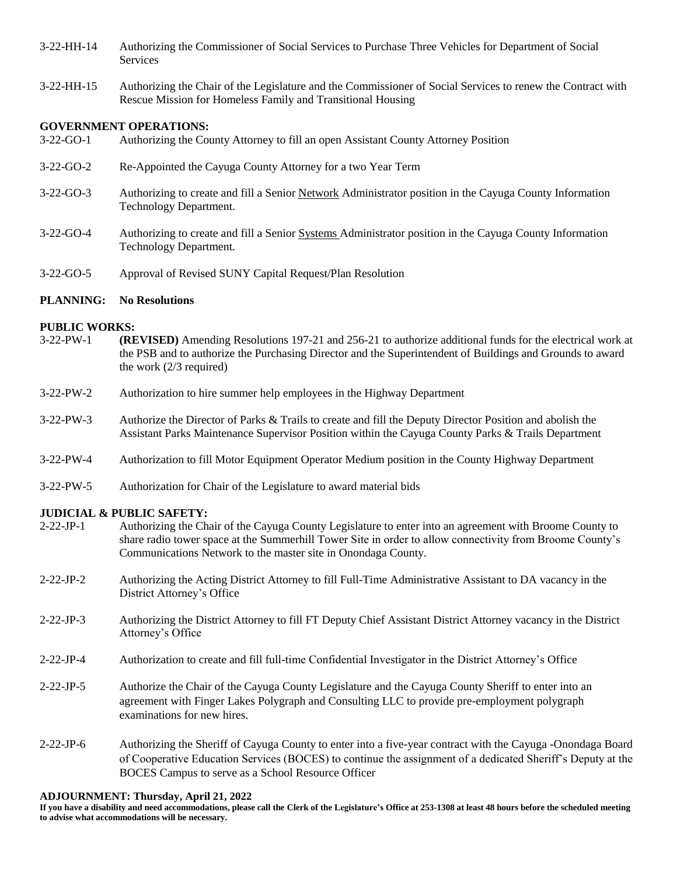3-22-HH-14 Authorizing the Commissioner of Social Services to Purchase Three Vehicles for Department of Social Services

3-22-HH-15 Authorizing the Chair of the Legislature and the Commissioner of Social Services to renew the Contract with Rescue Mission for Homeless Family and Transitional Housing

#### **GOVERNMENT OPERATIONS:**

- 3-22-GO-1 Authorizing the County Attorney to fill an open Assistant County Attorney Position
- 3-22-GO-2 Re-Appointed the Cayuga County Attorney for a two Year Term
- 3-22-GO-3 Authorizing to create and fill a Senior Network Administrator position in the Cayuga County Information Technology Department.
- 3-22-GO-4 Authorizing to create and fill a Senior Systems Administrator position in the Cayuga County Information Technology Department.
- 3-22-GO-5 Approval of Revised SUNY Capital Request/Plan Resolution

#### **PLANNING: No Resolutions**

# **PUBLIC WORKS:**<br>3-22-PW-1 (RI

- (REVISED) Amending Resolutions 197-21 and 256-21 to authorize additional funds for the electrical work at the PSB and to authorize the Purchasing Director and the Superintendent of Buildings and Grounds to award the work (2/3 required)
- 3-22-PW-2 Authorization to hire summer help employees in the Highway Department
- 3-22-PW-3 Authorize the Director of Parks & Trails to create and fill the Deputy Director Position and abolish the Assistant Parks Maintenance Supervisor Position within the Cayuga County Parks & Trails Department
- 3-22-PW-4 Authorization to fill Motor Equipment Operator Medium position in the County Highway Department
- 3-22-PW-5 Authorization for Chair of the Legislature to award material bids

#### **JUDICIAL & PUBLIC SAFETY:**

- 2-22-JP-1 Authorizing the Chair of the Cayuga County Legislature to enter into an agreement with Broome County to share radio tower space at the Summerhill Tower Site in order to allow connectivity from Broome County's Communications Network to the master site in Onondaga County.
- 2-22-JP-2 Authorizing the Acting District Attorney to fill Full-Time Administrative Assistant to DA vacancy in the District Attorney's Office
- 2-22-JP-3 Authorizing the District Attorney to fill FT Deputy Chief Assistant District Attorney vacancy in the District Attorney's Office
- 2-22-JP-4 Authorization to create and fill full-time Confidential Investigator in the District Attorney's Office
- 2-22-JP-5 Authorize the Chair of the Cayuga County Legislature and the Cayuga County Sheriff to enter into an agreement with Finger Lakes Polygraph and Consulting LLC to provide pre-employment polygraph examinations for new hires.
- 2-22-JP-6 Authorizing the Sheriff of Cayuga County to enter into a five-year contract with the Cayuga -Onondaga Board of Cooperative Education Services (BOCES) to continue the assignment of a dedicated Sheriff's Deputy at the BOCES Campus to serve as a School Resource Officer

#### **ADJOURNMENT: Thursday, April 21, 2022**

**If you have a disability and need accommodations, please call the Clerk of the Legislature's Office at 253-1308 at least 48 hours before the scheduled meeting to advise what accommodations will be necessary.**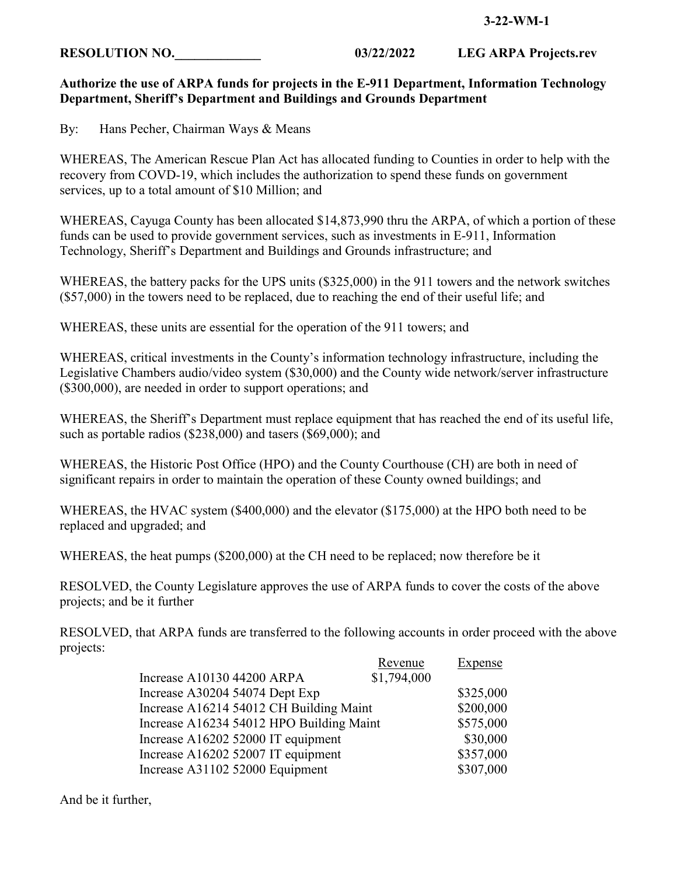#### **3-22-WM-1**

**RESOLUTION NO.** 03/22/2022 LEG ARPA Projects.rev

# **Authorize the use of ARPA funds for projects in the E-911 Department, Information Technology Department, Sheriff's Department and Buildings and Grounds Department**

By: Hans Pecher, Chairman Ways & Means

WHEREAS, The American Rescue Plan Act has allocated funding to Counties in order to help with the recovery from COVD-19, which includes the authorization to spend these funds on government services, up to a total amount of \$10 Million; and

WHEREAS, Cayuga County has been allocated \$14,873,990 thru the ARPA, of which a portion of these funds can be used to provide government services, such as investments in E-911, Information Technology, Sheriff's Department and Buildings and Grounds infrastructure; and

WHEREAS, the battery packs for the UPS units (\$325,000) in the 911 towers and the network switches (\$57,000) in the towers need to be replaced, due to reaching the end of their useful life; and

WHEREAS, these units are essential for the operation of the 911 towers; and

WHEREAS, critical investments in the County's information technology infrastructure, including the Legislative Chambers audio/video system (\$30,000) and the County wide network/server infrastructure (\$300,000), are needed in order to support operations; and

WHEREAS, the Sheriff's Department must replace equipment that has reached the end of its useful life, such as portable radios (\$238,000) and tasers (\$69,000); and

WHEREAS, the Historic Post Office (HPO) and the County Courthouse (CH) are both in need of significant repairs in order to maintain the operation of these County owned buildings; and

WHEREAS, the HVAC system (\$400,000) and the elevator (\$175,000) at the HPO both need to be replaced and upgraded; and

WHEREAS, the heat pumps (\$200,000) at the CH need to be replaced; now therefore be it

RESOLVED, the County Legislature approves the use of ARPA funds to cover the costs of the above projects; and be it further

RESOLVED, that ARPA funds are transferred to the following accounts in order proceed with the above projects:

|                                          | Revenue     | <b>Expense</b> |
|------------------------------------------|-------------|----------------|
| Increase A10130 44200 ARPA               | \$1,794,000 |                |
| Increase A30204 54074 Dept Exp           |             | \$325,000      |
| Increase A16214 54012 CH Building Maint  |             | \$200,000      |
| Increase A16234 54012 HPO Building Maint |             | \$575,000      |
| Increase A16202 52000 IT equipment       |             | \$30,000       |
| Increase A16202 52007 IT equipment       |             | \$357,000      |
| Increase A31102 52000 Equipment          |             | \$307,000      |

And be it further,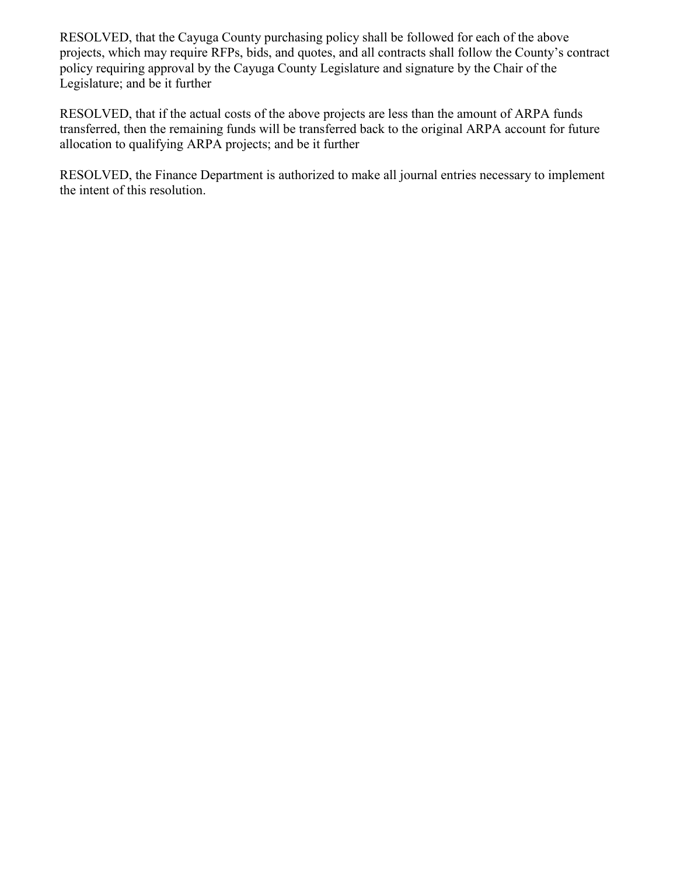RESOLVED, that the Cayuga County purchasing policy shall be followed for each of the above projects, which may require RFPs, bids, and quotes, and all contracts shall follow the County's contract policy requiring approval by the Cayuga County Legislature and signature by the Chair of the Legislature; and be it further

RESOLVED, that if the actual costs of the above projects are less than the amount of ARPA funds transferred, then the remaining funds will be transferred back to the original ARPA account for future allocation to qualifying ARPA projects; and be it further

RESOLVED, the Finance Department is authorized to make all journal entries necessary to implement the intent of this resolution.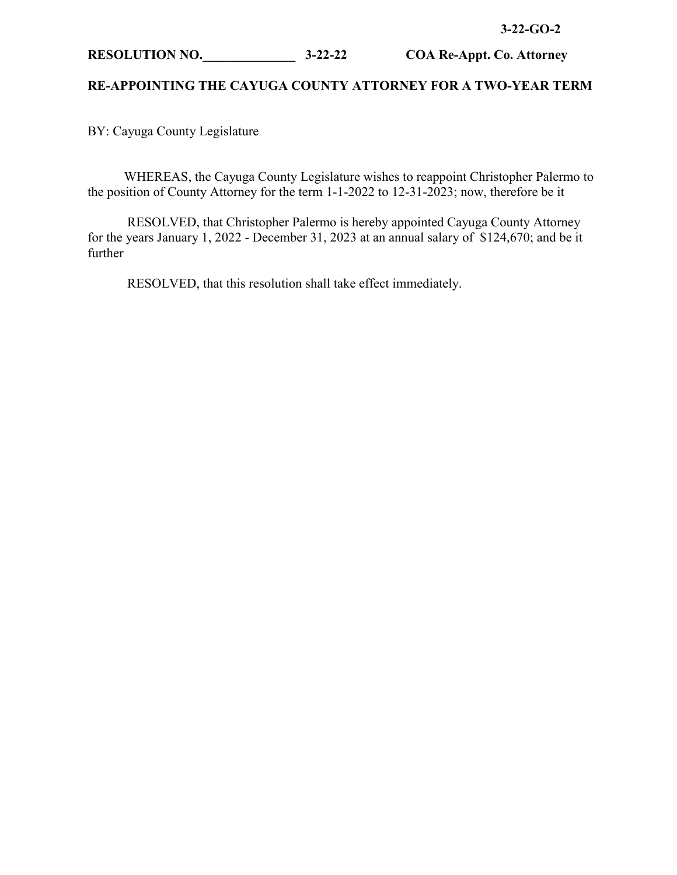#### **3-22-GO-2**

# **RESOLUTION NO.\_\_\_\_\_\_\_\_\_\_\_\_\_\_ 3-22-22 COA Re-Appt. Co. Attorney**

# **RE-APPOINTING THE CAYUGA COUNTY ATTORNEY FOR A TWO-YEAR TERM**

BY: Cayuga County Legislature

 WHEREAS, the Cayuga County Legislature wishes to reappoint Christopher Palermo to the position of County Attorney for the term 1-1-2022 to 12-31-2023; now, therefore be it

RESOLVED, that Christopher Palermo is hereby appointed Cayuga County Attorney for the years January 1, 2022 - December 31, 2023 at an annual salary of \$124,670; and be it further

RESOLVED, that this resolution shall take effect immediately.